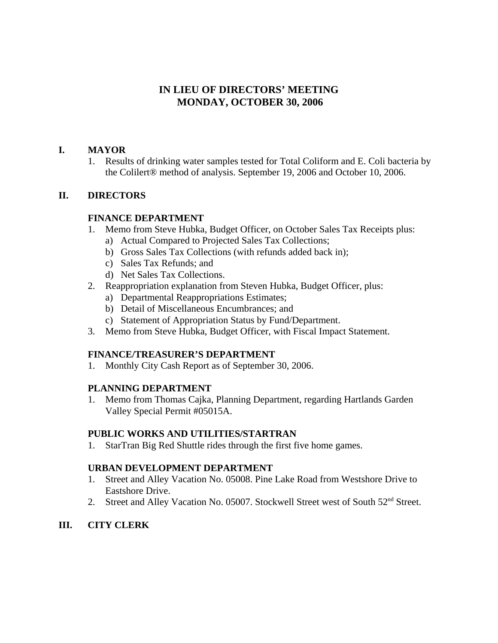## **IN LIEU OF DIRECTORS' MEETING MONDAY, OCTOBER 30, 2006**

#### **I. MAYOR**

1. Results of drinking water samples tested for Total Coliform and E. Coli bacteria by the Colilert® method of analysis. September 19, 2006 and October 10, 2006.

#### **II. DIRECTORS**

#### **FINANCE DEPARTMENT**

- 1. Memo from Steve Hubka, Budget Officer, on October Sales Tax Receipts plus:
	- a) Actual Compared to Projected Sales Tax Collections;
	- b) Gross Sales Tax Collections (with refunds added back in);
	- c) Sales Tax Refunds; and
	- d) Net Sales Tax Collections.
- 2. Reappropriation explanation from Steven Hubka, Budget Officer, plus:
	- a) Departmental Reappropriations Estimates;
	- b) Detail of Miscellaneous Encumbrances; and
	- c) Statement of Appropriation Status by Fund/Department.
- 3. Memo from Steve Hubka, Budget Officer, with Fiscal Impact Statement.

### **FINANCE/TREASURER'S DEPARTMENT**

1. Monthly City Cash Report as of September 30, 2006.

### **PLANNING DEPARTMENT**

1. Memo from Thomas Cajka, Planning Department, regarding Hartlands Garden Valley Special Permit #05015A.

#### **PUBLIC WORKS AND UTILITIES/STARTRAN**

1. StarTran Big Red Shuttle rides through the first five home games.

#### **URBAN DEVELOPMENT DEPARTMENT**

- 1. Street and Alley Vacation No. 05008. Pine Lake Road from Westshore Drive to Eastshore Drive.
- 2. Street and Alley Vacation No. 05007. Stockwell Street west of South 52<sup>nd</sup> Street.

### **III. CITY CLERK**